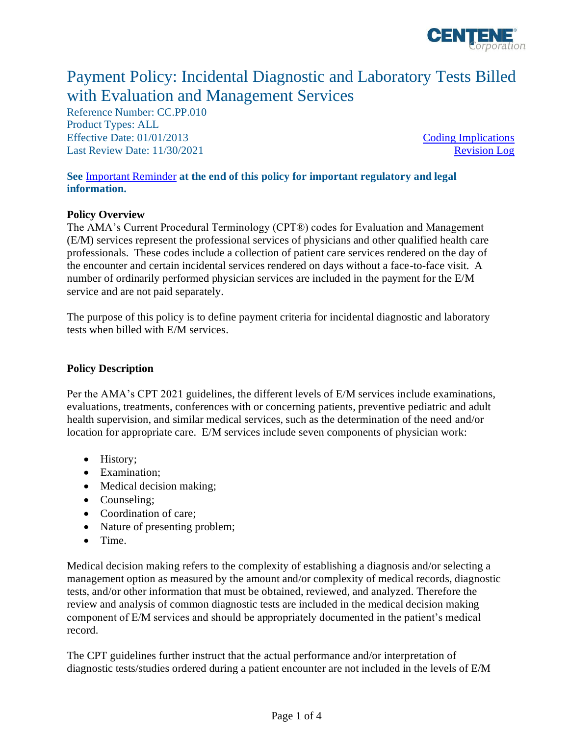

# Payment Policy: Incidental Diagnostic and Laboratory Tests Billed with Evaluation and Management Services

Reference Number: CC.PP.010 Product Types: ALL Effective Date: 01/01/2013 [Coding Implications](#page-1-0) Last Review Date: 11/30/2021 [Revision Log](#page-2-0)

#### **See** [Important Reminder](#page-2-1) **at the end of this policy for important regulatory and legal information.**

#### **Policy Overview**

The AMA's Current Procedural Terminology (CPT®) codes for Evaluation and Management (E/M) services represent the professional services of physicians and other qualified health care professionals. These codes include a collection of patient care services rendered on the day of the encounter and certain incidental services rendered on days without a face-to-face visit. A number of ordinarily performed physician services are included in the payment for the E/M service and are not paid separately.

The purpose of this policy is to define payment criteria for incidental diagnostic and laboratory tests when billed with E/M services.

#### **Policy Description**

Per the AMA's CPT 2021 guidelines, the different levels of E/M services include examinations, evaluations, treatments, conferences with or concerning patients, preventive pediatric and adult health supervision, and similar medical services, such as the determination of the need and/or location for appropriate care. E/M services include seven components of physician work:

- History;
- Examination;
- Medical decision making;
- Counseling;
- Coordination of care:
- Nature of presenting problem;
- Time.

Medical decision making refers to the complexity of establishing a diagnosis and/or selecting a management option as measured by the amount and/or complexity of medical records, diagnostic tests, and/or other information that must be obtained, reviewed, and analyzed. Therefore the review and analysis of common diagnostic tests are included in the medical decision making component of E/M services and should be appropriately documented in the patient's medical record.

The CPT guidelines further instruct that the actual performance and/or interpretation of diagnostic tests/studies ordered during a patient encounter are not included in the levels of E/M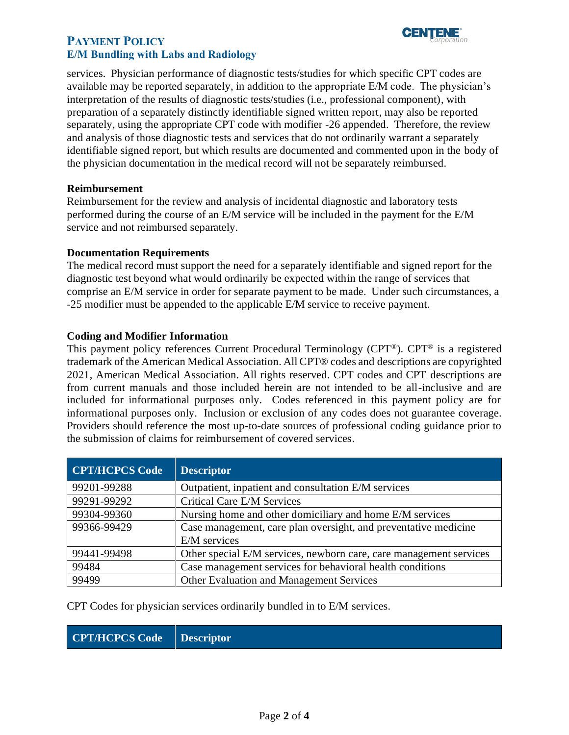### **PAYMENT POLICY E/M Bundling with Labs and Radiology**



services. Physician performance of diagnostic tests/studies for which specific CPT codes are available may be reported separately, in addition to the appropriate E/M code. The physician's interpretation of the results of diagnostic tests/studies (i.e., professional component), with preparation of a separately distinctly identifiable signed written report, may also be reported separately, using the appropriate CPT code with modifier -26 appended. Therefore, the review and analysis of those diagnostic tests and services that do not ordinarily warrant a separately identifiable signed report, but which results are documented and commented upon in the body of the physician documentation in the medical record will not be separately reimbursed.

#### **Reimbursement**

Reimbursement for the review and analysis of incidental diagnostic and laboratory tests performed during the course of an E/M service will be included in the payment for the E/M service and not reimbursed separately.

#### **Documentation Requirements**

The medical record must support the need for a separately identifiable and signed report for the diagnostic test beyond what would ordinarily be expected within the range of services that comprise an E/M service in order for separate payment to be made. Under such circumstances, a -25 modifier must be appended to the applicable E/M service to receive payment.

#### <span id="page-1-0"></span>**Coding and Modifier Information**

This payment policy references Current Procedural Terminology (CPT®). CPT® is a registered trademark of the American Medical Association. All CPT® codes and descriptions are copyrighted 2021, American Medical Association. All rights reserved. CPT codes and CPT descriptions are from current manuals and those included herein are not intended to be all-inclusive and are included for informational purposes only. Codes referenced in this payment policy are for informational purposes only. Inclusion or exclusion of any codes does not guarantee coverage. Providers should reference the most up-to-date sources of professional coding guidance prior to the submission of claims for reimbursement of covered services.

| <b>CPT/HCPCS Code</b> | <b>Descriptor</b>                                                  |
|-----------------------|--------------------------------------------------------------------|
| 99201-99288           | Outpatient, inpatient and consultation E/M services                |
| 99291-99292           | Critical Care E/M Services                                         |
| 99304-99360           | Nursing home and other domiciliary and home E/M services           |
| 99366-99429           | Case management, care plan oversight, and preventative medicine    |
|                       | E/M services                                                       |
| 99441-99498           | Other special E/M services, newborn care, care management services |
| 99484                 | Case management services for behavioral health conditions          |
| 99499                 | Other Evaluation and Management Services                           |

CPT Codes for physician services ordinarily bundled in to E/M services.

# **CPT/HCPCS Code Descriptor**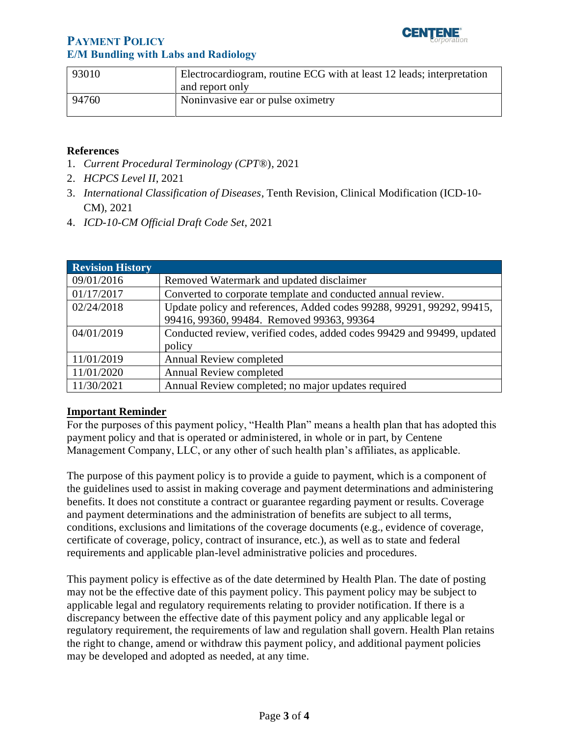

# **PAYMENT POLICY E/M Bundling with Labs and Radiology**

| 93010 | Electrocardiogram, routine ECG with at least 12 leads; interpretation |
|-------|-----------------------------------------------------------------------|
|       | and report only                                                       |
| 94760 | Noninvasive ear or pulse oximetry                                     |

#### **References**

- 1. *Current Procedural Terminology (CPT*®), 2021
- 2. *HCPCS Level II*, 2021
- 3. *International Classification of Diseases*, Tenth Revision, Clinical Modification (ICD-10- CM), 2021
- 4. *ICD-10-CM Official Draft Code Set*, 2021

<span id="page-2-0"></span>

| <b>Revision History</b> |                                                                        |
|-------------------------|------------------------------------------------------------------------|
| 09/01/2016              | Removed Watermark and updated disclaimer                               |
| 01/17/2017              | Converted to corporate template and conducted annual review.           |
| 02/24/2018              | Update policy and references, Added codes 99288, 99291, 99292, 99415,  |
|                         | 99416, 99360, 99484. Removed 99363, 99364                              |
| 04/01/2019              | Conducted review, verified codes, added codes 99429 and 99499, updated |
|                         | policy                                                                 |
| 11/01/2019              | Annual Review completed                                                |
| 11/01/2020              | <b>Annual Review completed</b>                                         |
| 11/30/2021              | Annual Review completed; no major updates required                     |

#### <span id="page-2-1"></span>**Important Reminder**

For the purposes of this payment policy, "Health Plan" means a health plan that has adopted this payment policy and that is operated or administered, in whole or in part, by Centene Management Company, LLC, or any other of such health plan's affiliates, as applicable.

The purpose of this payment policy is to provide a guide to payment, which is a component of the guidelines used to assist in making coverage and payment determinations and administering benefits. It does not constitute a contract or guarantee regarding payment or results. Coverage and payment determinations and the administration of benefits are subject to all terms, conditions, exclusions and limitations of the coverage documents (e.g., evidence of coverage, certificate of coverage, policy, contract of insurance, etc.), as well as to state and federal requirements and applicable plan-level administrative policies and procedures.

This payment policy is effective as of the date determined by Health Plan. The date of posting may not be the effective date of this payment policy. This payment policy may be subject to applicable legal and regulatory requirements relating to provider notification. If there is a discrepancy between the effective date of this payment policy and any applicable legal or regulatory requirement, the requirements of law and regulation shall govern. Health Plan retains the right to change, amend or withdraw this payment policy, and additional payment policies may be developed and adopted as needed, at any time.